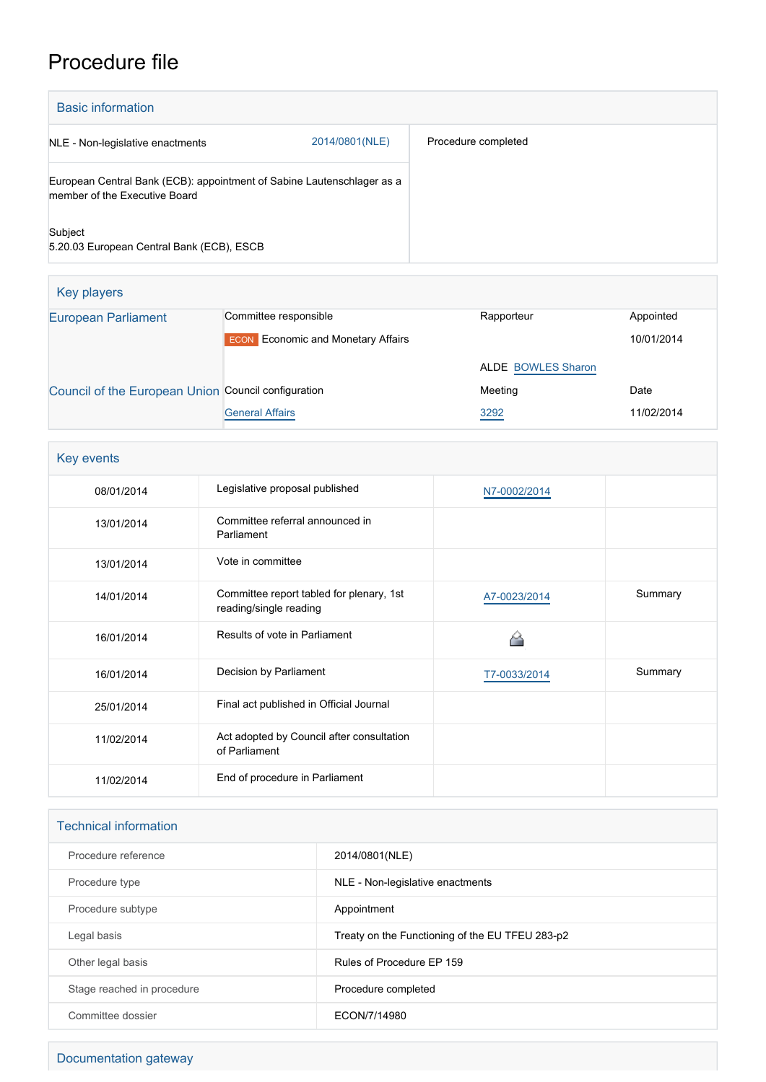## Procedure file

| <b>Basic information</b>                                                                                |                |                     |  |
|---------------------------------------------------------------------------------------------------------|----------------|---------------------|--|
| NLE - Non-legislative enactments                                                                        | 2014/0801(NLE) | Procedure completed |  |
| European Central Bank (ECB): appointment of Sabine Lautenschlager as a<br>member of the Executive Board |                |                     |  |
| Subject<br>5.20.03 European Central Bank (ECB), ESCB                                                    |                |                     |  |

| Key players                                         |                                           |                           |            |
|-----------------------------------------------------|-------------------------------------------|---------------------------|------------|
| <b>European Parliament</b>                          | Committee responsible                     | Rapporteur                | Appointed  |
|                                                     | <b>ECON</b> Economic and Monetary Affairs |                           | 10/01/2014 |
|                                                     |                                           | <b>ALDE BOWLES Sharon</b> |            |
| Council of the European Union Council configuration |                                           | Meeting                   | Date       |
|                                                     | <b>General Affairs</b>                    | 3292                      | 11/02/2014 |

| Key events |                                                                    |              |         |
|------------|--------------------------------------------------------------------|--------------|---------|
| 08/01/2014 | Legislative proposal published                                     | N7-0002/2014 |         |
| 13/01/2014 | Committee referral announced in<br>Parliament                      |              |         |
| 13/01/2014 | Vote in committee                                                  |              |         |
| 14/01/2014 | Committee report tabled for plenary, 1st<br>reading/single reading | A7-0023/2014 | Summary |
| 16/01/2014 | Results of vote in Parliament                                      |              |         |
| 16/01/2014 | Decision by Parliament                                             | T7-0033/2014 | Summary |
| 25/01/2014 | Final act published in Official Journal                            |              |         |
| 11/02/2014 | Act adopted by Council after consultation<br>of Parliament         |              |         |
| 11/02/2014 | End of procedure in Parliament                                     |              |         |

| <b>Technical information</b> |                                                 |  |  |
|------------------------------|-------------------------------------------------|--|--|
| Procedure reference          | 2014/0801(NLE)                                  |  |  |
| Procedure type               | NLE - Non-legislative enactments                |  |  |
| Procedure subtype            | Appointment                                     |  |  |
| Legal basis                  | Treaty on the Functioning of the EU TFEU 283-p2 |  |  |
| Other legal basis            | Rules of Procedure EP 159                       |  |  |
| Stage reached in procedure   | Procedure completed                             |  |  |
| Committee dossier            | ECON/7/14980                                    |  |  |